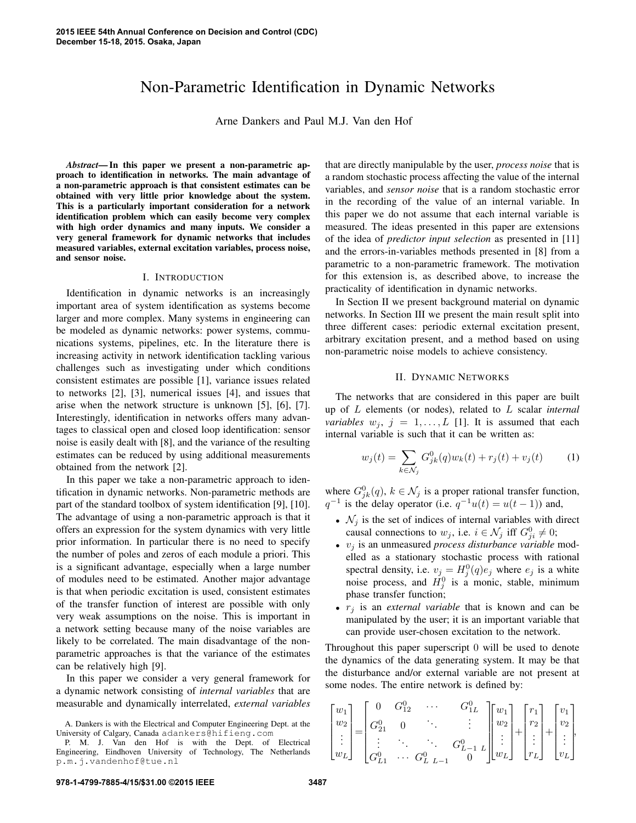# Non-Parametric Identification in Dynamic Networks

Arne Dankers and Paul M.J. Van den Hof

*Abstract*— In this paper we present a non-parametric approach to identification in networks. The main advantage of a non-parametric approach is that consistent estimates can be obtained with very little prior knowledge about the system. This is a particularly important consideration for a network identification problem which can easily become very complex with high order dynamics and many inputs. We consider a very general framework for dynamic networks that includes measured variables, external excitation variables, process noise, and sensor noise.

## I. INTRODUCTION

Identification in dynamic networks is an increasingly important area of system identification as systems become larger and more complex. Many systems in engineering can be modeled as dynamic networks: power systems, communications systems, pipelines, etc. In the literature there is increasing activity in network identification tackling various challenges such as investigating under which conditions consistent estimates are possible [1], variance issues related to networks [2], [3], numerical issues [4], and issues that arise when the network structure is unknown [5], [6], [7]. Interestingly, identification in networks offers many advantages to classical open and closed loop identification: sensor noise is easily dealt with [8], and the variance of the resulting estimates can be reduced by using additional measurements obtained from the network [2].

In this paper we take a non-parametric approach to identification in dynamic networks. Non-parametric methods are part of the standard toolbox of system identification [9], [10]. The advantage of using a non-parametric approach is that it offers an expression for the system dynamics with very little prior information. In particular there is no need to specify the number of poles and zeros of each module a priori. This is a significant advantage, especially when a large number of modules need to be estimated. Another major advantage is that when periodic excitation is used, consistent estimates of the transfer function of interest are possible with only very weak assumptions on the noise. This is important in a network setting because many of the noise variables are likely to be correlated. The main disadvantage of the nonparametric approaches is that the variance of the estimates can be relatively high [9].

In this paper we consider a very general framework for a dynamic network consisting of *internal variables* that are measurable and dynamically interrelated, *external variables* that are directly manipulable by the user, *process noise* that is a random stochastic process affecting the value of the internal variables, and *sensor noise* that is a random stochastic error in the recording of the value of an internal variable. In this paper we do not assume that each internal variable is measured. The ideas presented in this paper are extensions of the idea of *predictor input selection* as presented in [11] and the errors-in-variables methods presented in [8] from a parametric to a non-parametric framework. The motivation for this extension is, as described above, to increase the practicality of identification in dynamic networks.

In Section II we present background material on dynamic networks. In Section III we present the main result split into three different cases: periodic external excitation present, arbitrary excitation present, and a method based on using non-parametric noise models to achieve consistency.

#### II. DYNAMIC NETWORKS

The networks that are considered in this paper are built up of *L* elements (or nodes), related to *L* scalar *internal variables*  $w_j$ ,  $j = 1, \ldots, L$  [1]. It is assumed that each internal variable is such that it can be written as:

$$
w_j(t) = \sum_{k \in \mathcal{N}_j} G_{jk}^0(q) w_k(t) + r_j(t) + v_j(t)
$$
 (1)

where  $G_{jk}^0(q)$ ,  $k \in \mathcal{N}_j$  is a proper rational transfer function,  $q^{-1}$  is the delay operator (i.e.  $q^{-1}u(t) = u(t-1)$ ) and,

- $\mathcal{N}_j$  is the set of indices of internal variables with direct causal connections to  $w_j$ , i.e.  $i \in \mathcal{N}_j$  iff  $G_{ji}^0 \neq 0$ ;
- *• v<sup>j</sup>* is an unmeasured *process disturbance variable* modelled as a stationary stochastic process with rational spectral density, i.e.  $v_j = H_j^0(q)e_j$  where  $e_j$  is a white noise process, and  $H_j^0$  is a monic, stable, minimum phase transfer function;
- *• r<sup>j</sup>* is an *external variable* that is known and can be manipulated by the user; it is an important variable that can provide user-chosen excitation to the network.

Throughout this paper superscript 0 will be used to denote the dynamics of the data generating system. It may be that the disturbance and/or external variable are not present at some nodes. The entire network is defined by:

$$
\begin{bmatrix} w_1 \\ w_2 \\ \vdots \\ w_L \end{bmatrix} = \begin{bmatrix} 0 & G_{12}^0 & \cdots & G_{1L}^0 \\ G_{21}^0 & 0 & \ddots & \vdots \\ \vdots & \ddots & \ddots & G_{L-1}^0 & L \\ G_{L1}^0 & \cdots & G_{L}^0 & L-1 & 0 \end{bmatrix} \begin{bmatrix} w_1 \\ w_2 \\ \vdots \\ w_L \end{bmatrix} + \begin{bmatrix} r_1 \\ r_2 \\ \vdots \\ r_L \end{bmatrix} + \begin{bmatrix} v_1 \\ v_2 \\ \vdots \\ v_L \end{bmatrix},
$$

A. Dankers is with the Electrical and Computer Engineering Dept. at the University of Calgary, Canada adankers@hifieng.com

P. M. J. Van den Hof is with the Dept. of Electrical Engineering, Eindhoven University of Technology, The Netherlands p.m.j.vandenhof@tue.nl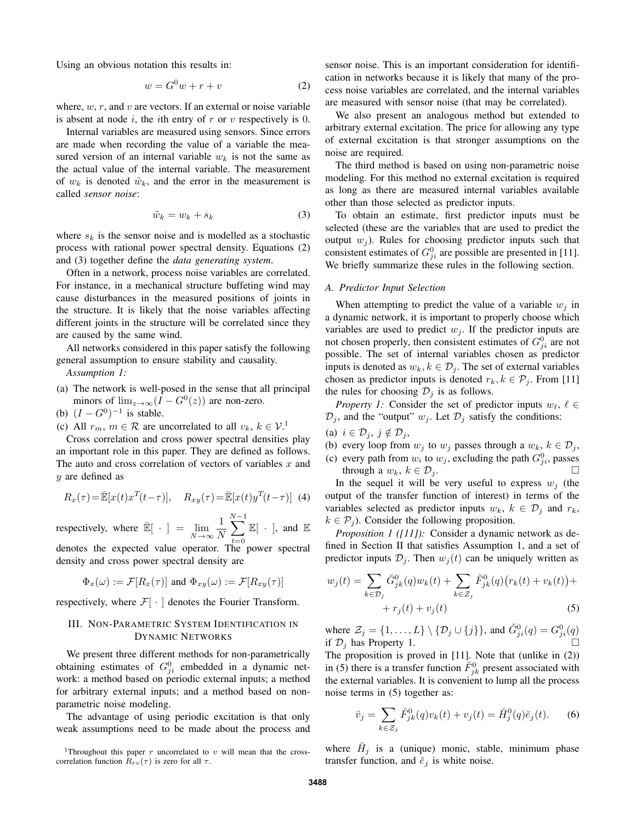Using an obvious notation this results in:

$$
w = G^0 w + r + v \tag{2}
$$

where, *w*, *r*, and *v* are vectors. If an external or noise variable is absent at node *i*, the *i*th entry of *r* or *v* respectively is 0.

Internal variables are measured using sensors. Since errors are made when recording the value of a variable the measured version of an internal variable  $w_k$  is not the same as the actual value of the internal variable. The measurement of  $w_k$  is denoted  $\tilde{w}_k$ , and the error in the measurement is called *sensor noise*:

$$
\tilde{w}_k = w_k + s_k \tag{3}
$$

where  $s_k$  is the sensor noise and is modelled as a stochastic process with rational power spectral density. Equations (2) and (3) together define the *data generating system*.

Often in a network, process noise variables are correlated. For instance, in a mechanical structure buffeting wind may cause disturbances in the measured positions of joints in the structure. It is likely that the noise variables affecting different joints in the structure will be correlated since they are caused by the same wind.

All networks considered in this paper satisfy the following general assumption to ensure stability and causality.

*Assumption 1:*

- (a) The network is well-posed in the sense that all principal minors of  $\lim_{z\to\infty} (I - G^0(z))$  are non-zero.
- (b)  $(I G^0)^{-1}$  is stable.
- (c) All  $r_m$ ,  $m \in \mathcal{R}$  are uncorrelated to all  $v_k$ ,  $k \in \mathcal{V}^{\perp}$

Cross correlation and cross power spectral densities play an important role in this paper. They are defined as follows. The auto and cross correlation of vectors of variables *x* and *y* are defined as

$$
R_x(\tau) = \mathbb{E}[x(t)x^T(t-\tau)], \quad R_{xy}(\tau) = \mathbb{E}[x(t)y^T(t-\tau)] \tag{4}
$$

respectively, where  $\overline{\mathbb{E}}[ \cdot ] = \lim_{N \to \infty}$ 1 *N N* ∑*−*1 *t*=0  $\mathbb{E}[\mathrel{\;\cdot\;}],$  and  $\mathbb{E}% [\mathrel{\;\cdot\;}]$ 

denotes the expected value operator. The power spectral density and cross power spectral density are

$$
\Phi_x(\omega) := \mathcal{F}[R_x(\tau)]
$$
 and  $\Phi_{xy}(\omega) := \mathcal{F}[R_{xy}(\tau)]$ 

respectively, where  $\mathcal{F}[\cdot]$  denotes the Fourier Transform.

## III. NON-PARAMETRIC SYSTEM IDENTIFICATION IN DYNAMIC NETWORKS

We present three different methods for non-parametrically obtaining estimates of  $G_{ji}^0$  embedded in a dynamic network: a method based on periodic external inputs; a method for arbitrary external inputs; and a method based on nonparametric noise modeling.

The advantage of using periodic excitation is that only weak assumptions need to be made about the process and sensor noise. This is an important consideration for identification in networks because it is likely that many of the process noise variables are correlated, and the internal variables are measured with sensor noise (that may be correlated).

We also present an analogous method but extended to arbitrary external excitation. The price for allowing any type of external excitation is that stronger assumptions on the noise are required.

The third method is based on using non-parametric noise modeling. For this method no external excitation is required as long as there are measured internal variables available other than those selected as predictor inputs.

To obtain an estimate, first predictor inputs must be selected (these are the variables that are used to predict the output  $w_i$ ). Rules for choosing predictor inputs such that consistent estimates of  $G_{ji}^0$  are possible are presented in [11]. We briefly summarize these rules in the following section.

#### *A. Predictor Input Selection*

When attempting to predict the value of a variable  $w_i$  in a dynamic network, it is important to properly choose which variables are used to predict  $w_j$ . If the predictor inputs are not chosen properly, then consistent estimates of  $G_{ji}^0$  are not possible. The set of internal variables chosen as predictor inputs is denoted as  $w_k, k \in \mathcal{D}_j$ . The set of external variables chosen as predictor inputs is denoted  $r_k, k \in \mathcal{P}_j$ . From [11] the rules for choosing  $\mathcal{D}_j$  is as follows.

*Property 1:* Consider the set of predictor inputs  $w_\ell$ ,  $\ell$  ∈  $\mathcal{D}_j$ , and the "output"  $w_j$ . Let  $\mathcal{D}_j$  satisfy the conditions:

- (a)  $i \in \mathcal{D}_j$ ,  $j \notin \mathcal{D}_j$ ,
- (b) every loop from  $w_j$  to  $w_j$  passes through a  $w_k$ ,  $k \in \mathcal{D}_j$ ,
- (c) every path from  $w_i$  to  $w_j$ , excluding the path  $G_{ji}^0$ , passes through a  $w_k$ ,  $k \in \mathcal{D}_j$ .

In the sequel it will be very useful to express  $w_j$  (the output of the transfer function of interest) in terms of the variables selected as predictor inputs  $w_k$ ,  $k \in \mathcal{D}_j$  and  $r_k$ ,  $k \in \mathcal{P}_i$ ). Consider the following proposition.

*Proposition 1 ([11]):* Consider a dynamic network as defined in Section II that satisfies Assumption 1, and a set of predictor inputs  $\mathcal{D}_j$ . Then  $w_j(t)$  can be uniquely written as

$$
w_j(t) = \sum_{k \in \mathcal{D}_j} \breve{G}_{jk}^0(q) w_k(t) + \sum_{k \in \mathcal{Z}_j} \breve{F}_{jk}^0(q) (r_k(t) + v_k(t)) +
$$
  
+  $r_j(t) + v_j(t)$  (5)

where  $\mathcal{Z}_j = \{1, ..., L\} \setminus \{\mathcal{D}_j \cup \{j\}\}\$ , and  $\check{G}_{ji}^0(q) = G_{ji}^0(q)$ if  $\mathcal{D}_j$  has Property 1.

The proposition is proved in [11]. Note that (unlike in (2)) in (5) there is a transfer function  $\tilde{F}_{jk}^0$  present associated with the external variables. It is convenient to lump all the process noise terms in (5) together as:

$$
\breve{v}_j = \sum_{k \in \mathcal{Z}_j} \breve{F}_{jk}^0(q) v_k(t) + v_j(t) = \breve{H}_j^0(q) \breve{e}_j(t).
$$
 (6)

where  $H_j$  is a (unique) monic, stable, minimum phase transfer function, and  $\check{e}_j$  is white noise.

<sup>&</sup>lt;sup>1</sup>Throughout this paper  $r$  uncorrelated to  $v$  will mean that the crosscorrelation function  $R_{rv}(\tau)$  is zero for all  $\tau$ .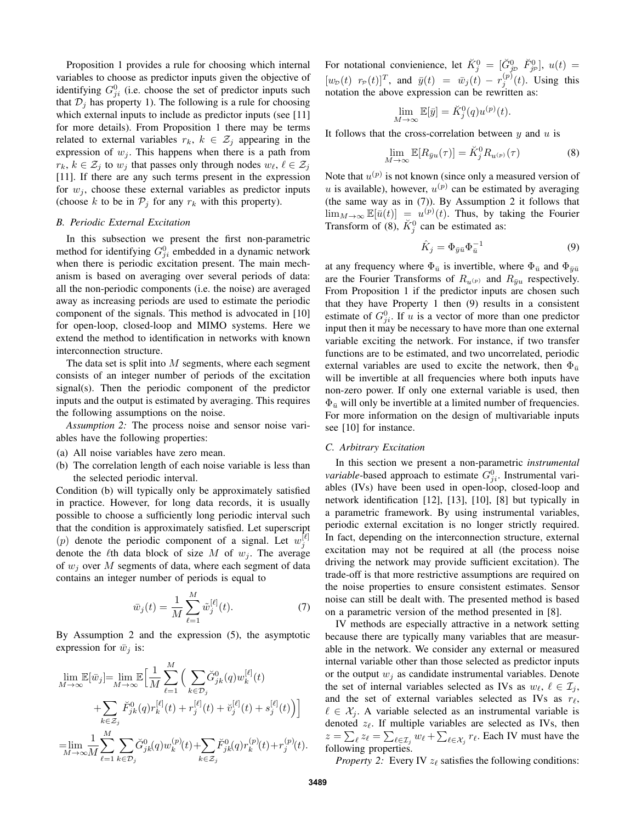Proposition 1 provides a rule for choosing which internal variables to choose as predictor inputs given the objective of identifying  $G_{ji}^0$  (i.e. choose the set of predictor inputs such that  $\mathcal{D}_j$  has property 1). The following is a rule for choosing which external inputs to include as predictor inputs (see [11] for more details). From Proposition 1 there may be terms related to external variables  $r_k$ ,  $k \in \mathcal{Z}_j$  appearing in the expression of  $w_j$ . This happens when there is a path from  $r_k, k \in \mathcal{Z}_j$  to  $w_j$  that passes only through nodes  $w_\ell, \ell \in \mathcal{Z}_j$ [11]. If there are any such terms present in the expression for  $w_j$ , choose these external variables as predictor inputs (choose *k* to be in  $P_j$  for any  $r_k$  with this property).

## *B. Periodic External Excitation*

In this subsection we present the first non-parametric method for identifying  $G_{ji}^0$  embedded in a dynamic network when there is periodic excitation present. The main mechanism is based on averaging over several periods of data: all the non-periodic components (i.e. the noise) are averaged away as increasing periods are used to estimate the periodic component of the signals. This method is advocated in [10] for open-loop, closed-loop and MIMO systems. Here we extend the method to identification in networks with known interconnection structure.

The data set is split into *M* segments, where each segment consists of an integer number of periods of the excitation signal(s). Then the periodic component of the predictor inputs and the output is estimated by averaging. This requires the following assumptions on the noise.

*Assumption 2:* The process noise and sensor noise variables have the following properties:

- (a) All noise variables have zero mean.
- (b) The correlation length of each noise variable is less than the selected periodic interval.

Condition (b) will typically only be approximately satisfied in practice. However, for long data records, it is usually possible to choose a sufficiently long periodic interval such that the condition is approximately satisfied. Let superscript (*p*) denote the periodic component of a signal. Let  $w_j^{[\ell]}$ denote the  $\ell$ th data block of size *M* of  $w_j$ . The average of *w<sup>j</sup>* over *M* segments of data, where each segment of data contains an integer number of periods is equal to

$$
\bar{w}_j(t) = \frac{1}{M} \sum_{\ell=1}^{M} \tilde{w}_j^{[\ell]}(t).
$$
 (7)

By Assumption 2 and the expression (5), the asymptotic expression for  $\bar{w}_i$  is:

$$
\lim_{M \to \infty} \mathbb{E}[\bar{w}_j] = \lim_{M \to \infty} \mathbb{E} \Big[ \frac{1}{M} \sum_{\ell=1}^M \Big( \sum_{k \in \mathcal{D}_j} \check{G}_{jk}^0(q) w_k^{[\ell]}(t) + \sum_{k \in \mathcal{Z}_j} \check{F}_{jk}^0(q) r_k^{[\ell]}(t) + r_j^{[\ell]}(t) + \check{v}_j^{[\ell]}(t) + s_j^{[\ell]}(t) \Big) \Big]
$$
  
\n
$$
= \lim_{M \to \infty} \frac{1}{M} \sum_{\ell=1}^M \sum_{k \in \mathcal{D}_j} \check{G}_{jk}^0(q) w_k^{(p)}(t) + \sum_{k \in \mathcal{Z}_j} \check{F}_{jk}^0(q) r_k^{(p)}(t) + r_j^{(p)}(t).
$$

For notational convienience, let  $\breve{K}^0_j = [\breve{G}^0_{jD} \ \breve{F}^0_{jP}], u(t) =$  $[w_{\mathcal{D}}(t)$   $r_{\mathcal{P}}(t)]^T$ , and  $\bar{y}(t) = \bar{w}_j(t) - r_j^{(p)}(t)$ . Using this notation the above expression can be rewritten as:

$$
\lim_{M \to \infty} \mathbb{E}[\bar{y}] = \breve{K}_j^0(q) u^{(p)}(t).
$$

It follows that the cross-correlation between *y* and *u* is

$$
\lim_{M \to \infty} \mathbb{E}[R_{\bar{y}u}(\tau)] = \breve{K}_j^0 R_{u^{(p)}}(\tau) \tag{8}
$$

Note that  $u^{(p)}$  is not known (since only a measured version of *u* is available), however,  $u^{(p)}$  can be estimated by averaging (the same way as in (7)). By Assumption 2 it follows that  $\lim_{M\to\infty} \mathbb{E}[\bar{u}(t)] = u^{(p)}(t)$ . Thus, by taking the Fourier Transform of (8),  $\breve{K}_{j}^{0}$  can be estimated as:

$$
\hat{K}_j = \Phi_{\bar{y}\bar{u}} \Phi_{\bar{u}}^{-1} \tag{9}
$$

at any frequency where  $\Phi_{\bar{u}}$  is invertible, where  $\Phi_{\bar{u}}$  and  $\Phi_{\bar{y}\bar{u}}$ are the Fourier Transforms of  $R_{u(p)}$  and  $R_{\bar{y}u}$  respectively. From Proposition 1 if the predictor inputs are chosen such that they have Property 1 then (9) results in a consistent estimate of  $G_{ji}^0$ . If *u* is a vector of more than one predictor input then it may be necessary to have more than one external variable exciting the network. For instance, if two transfer functions are to be estimated, and two uncorrelated, periodic external variables are used to excite the network, then  $\Phi_{\bar{u}}$ will be invertible at all frequencies where both inputs have non-zero power. If only one external variable is used, then  $\Phi_{\bar{u}}$  will only be invertible at a limited number of frequencies. For more information on the design of multivariable inputs see [10] for instance.

## *C. Arbitrary Excitation*

In this section we present a non-parametric *instrumental variable*-based approach to estimate  $G_{ji}^0$ . Instrumental variables (IVs) have been used in open-loop, closed-loop and network identification [12], [13], [10], [8] but typically in a parametric framework. By using instrumental variables, periodic external excitation is no longer strictly required. In fact, depending on the interconnection structure, external excitation may not be required at all (the process noise driving the network may provide sufficient excitation). The trade-off is that more restrictive assumptions are required on the noise properties to ensure consistent estimates. Sensor noise can still be dealt with. The presented method is based on a parametric version of the method presented in [8].

IV methods are especially attractive in a network setting because there are typically many variables that are measurable in the network. We consider any external or measured internal variable other than those selected as predictor inputs or the output  $w_i$  as candidate instrumental variables. Denote the set of internal variables selected as IVs as  $w_{\ell}, \ell \in \mathcal{I}_i$ , and the set of external variables selected as IVs as *rℓ*,  $\ell \in \mathcal{X}_i$ . A variable selected as an instrumental variable is denoted  $z_{\ell}$ . If multiple variables are selected as IVs, then  $z = \sum_{\ell} z_{\ell} = \sum_{\ell \in \mathcal{I}_j} w_{\ell} + \sum_{\ell \in \mathcal{X}_j} r_{\ell}$ . Each IV must have the following properties.

*Property 2:* Every IV  $z_\ell$  satisfies the following conditions: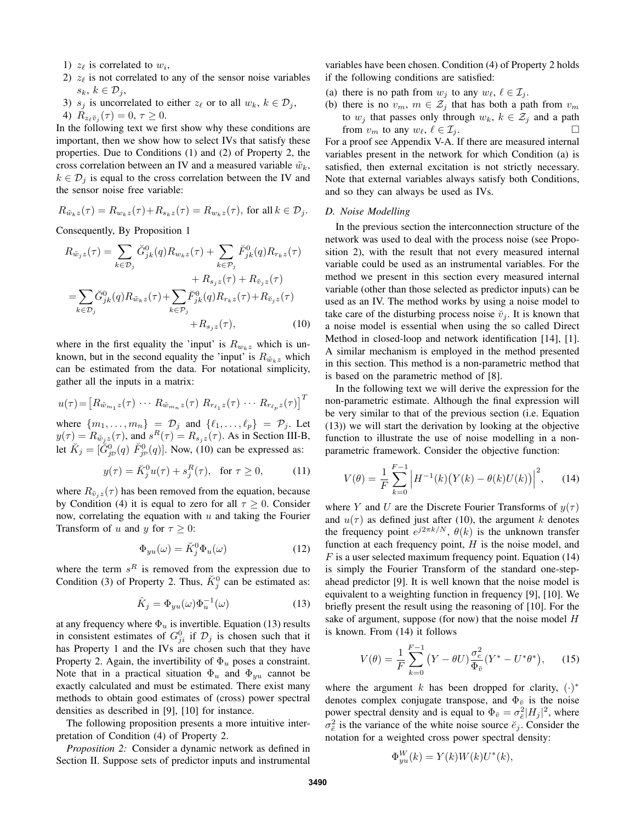- 1)  $z_{\ell}$  is correlated to  $w_i$ ,
- 2)  $z_{\ell}$  is not correlated to any of the sensor noise variables *sk*, *k ∈ D<sup>j</sup>* ,
- 3) *s<sub>j</sub>* is uncorrelated to either  $z_\ell$  or to all  $w_k$ ,  $k \in \mathcal{D}_j$ ,

4) 
$$
R_{z_{\ell} \check{v}_j}(\tau) = 0, \tau \geq 0.
$$

In the following text we first show why these conditions are important, then we show how to select IVs that satisfy these properties. Due to Conditions (1) and (2) of Property 2, the cross correlation between an IV and a measured variable  $\tilde{w}_k$ ,  $k \in \mathcal{D}_i$  is equal to the cross correlation between the IV and the sensor noise free variable:

$$
R_{\tilde{w}_k z}(\tau) = R_{w_k z}(\tau) + R_{s_k z}(\tau) = R_{w_k z}(\tau), \text{ for all } k \in \mathcal{D}_j.
$$

Consequently, By Proposition 1

$$
R_{\tilde{w}_j z}(\tau) = \sum_{k \in \mathcal{D}_j} \breve{G}_{jk}^0(q) R_{w_k z}(\tau) + \sum_{k \in \mathcal{P}_j} \breve{F}_{jk}^0(q) R_{r_k z}(\tau)
$$
  
+ 
$$
R_{s_j z}(\tau) + R_{\breve{v}_j z}(\tau)
$$
  
= 
$$
\sum_{k \in \mathcal{D}_j} \breve{G}_{jk}^0(q) R_{\tilde{w}_k z}(\tau) + \sum_{k \in \mathcal{P}_j} \breve{F}_{jk}^0(q) R_{r_k z}(\tau) + R_{\breve{v}_j z}(\tau)
$$
  
+ 
$$
R_{s_j z}(\tau), \qquad (10)
$$

where in the first equality the 'input' is  $R_{w_kz}$  which is unknown, but in the second equality the 'input' is  $R_{\tilde{w}_k z}$  which can be estimated from the data. For notational simplicity, gather all the inputs in a matrix:

$$
u(\tau) = \left[R_{\tilde{w}_{m_1}z}(\tau) \cdots R_{\tilde{w}_{m_n}z}(\tau) R_{r_{\ell_1}z}(\tau) \cdots R_{r_{\ell_p}z}(\tau)\right]^T
$$

where  $\{m_1, \ldots, m_n\} = D_j$  and  $\{\ell_1, \ldots, \ell_p\} = P_j$ . Let  $y(\tau) = R_{\tilde{w}_jz}(\tau)$ , and  $s^R(\tau) = R_{s_jz}(\tau)$ . As in Section III-B, let  $\check{K}_j = [\check{G}_{j\mathcal{D}}^0(q) \check{F}_{j\mathcal{P}}^0(q)]$ . Now, (10) can be expressed as:

$$
y(\tau) = \breve{K}_j^0 u(\tau) + s_j^R(\tau), \quad \text{for } \tau \ge 0,
$$
 (11)

where  $R_{\tilde{v}_jz}(\tau)$  has been removed from the equation, because by Condition (4) it is equal to zero for all  $\tau \geq 0$ . Consider now, correlating the equation with *u* and taking the Fourier Transform of *u* and *y* for  $\tau \geq 0$ :

$$
\Phi_{yu}(\omega) = \breve{K}_j^0 \Phi_u(\omega) \tag{12}
$$

where the term  $s^R$  is removed from the expression due to Condition (3) of Property 2. Thus,  $\breve{K}_{j}^{0}$  can be estimated as:

$$
\hat{K}_j = \Phi_{yu}(\omega)\Phi_u^{-1}(\omega) \tag{13}
$$

at any frequency where  $\Phi_u$  is invertible. Equation (13) results in consistent estimates of  $G_{ji}^0$  if  $\mathcal{D}_j$  is chosen such that it has Property 1 and the IVs are chosen such that they have Property 2. Again, the invertibility of  $\Phi_u$  poses a constraint. Note that in a practical situation  $\Phi_u$  and  $\Phi_{yu}$  cannot be exactly calculated and must be estimated. There exist many methods to obtain good estimates of (cross) power spectral densities as described in [9], [10] for instance.

The following proposition presents a more intuitive interpretation of Condition (4) of Property 2.

*Proposition 2:* Consider a dynamic network as defined in Section II. Suppose sets of predictor inputs and instrumental variables have been chosen. Condition (4) of Property 2 holds if the following conditions are satisfied:

- (a) there is no path from  $w_j$  to any  $w_\ell, \ell \in \mathcal{I}_j$ .
- (b) there is no  $v_m$ ,  $m \in \mathcal{Z}_j$  that has both a path from  $v_m$ to  $w_j$  that passes only through  $w_k$ ,  $k \in \mathcal{Z}_j$  and a path from  $v_m$  to any  $w_\ell, \ell \in \mathcal{I}_j$ .

For a proof see Appendix V-A. If there are measured internal variables present in the network for which Condition (a) is satisfied, then external excitation is not strictly necessary. Note that external variables always satisfy both Conditions, and so they can always be used as IVs.

## *D. Noise Modelling*

In the previous section the interconnection structure of the network was used to deal with the process noise (see Proposition 2), with the result that not every measured internal variable could be used as an instrumental variables. For the method we present in this section every measured internal variable (other than those selected as predictor inputs) can be used as an IV. The method works by using a noise model to take care of the disturbing process noise  $\breve{v}_j$ . It is known that a noise model is essential when using the so called Direct Method in closed-loop and network identification [14], [1]. A similar mechanism is employed in the method presented in this section. This method is a non-parametric method that is based on the parametric method of [8].

In the following text we will derive the expression for the non-parametric estimate. Although the final expression will be very similar to that of the previous section (i.e. Equation (13)) we will start the derivation by looking at the objective function to illustrate the use of noise modelling in a nonparametric framework. Consider the objective function:

$$
V(\theta) = \frac{1}{F} \sum_{k=0}^{F-1} \left| H^{-1}(k) \left( Y(k) - \theta(k) U(k) \right) \right|^2, \quad (14)
$$

where *Y* and *U* are the Discrete Fourier Transforms of  $y(\tau)$ and  $u(\tau)$  as defined just after (10), the argument *k* denotes the frequency point  $e^{j2\pi k/N}$ ,  $\theta(k)$  is the unknown transfer function at each frequency point, *H* is the noise model, and *F* is a user selected maximum frequency point. Equation (14) is simply the Fourier Transform of the standard one-stepahead predictor [9]. It is well known that the noise model is equivalent to a weighting function in frequency [9], [10]. We briefly present the result using the reasoning of [10]. For the sake of argument, suppose (for now) that the noise model *H* is known. From (14) it follows

$$
V(\theta) = \frac{1}{F} \sum_{k=0}^{F-1} (Y - \theta U) \frac{\sigma_e^2}{\Phi_{\check{v}}}(Y^* - U^* \theta^*), \quad (15)
$$

where the argument *k* has been dropped for clarity,  $(·)^*$ denotes complex conjugate transpose, and  $\Phi_{\check{\upsilon}}$  is the noise power spectral density and is equal to  $\Phi_{\check{v}} = \sigma_{\check{e}}^2 |H_j|^2$ , where  $\sigma_{\breve{e}}^2$  is the variance of the white noise source  $\breve{e}_j$ . Consider the notation for a weighted cross power spectral density:

$$
\Phi_{yu}^W(k) = Y(k)W(k)U^*(k),
$$

*W*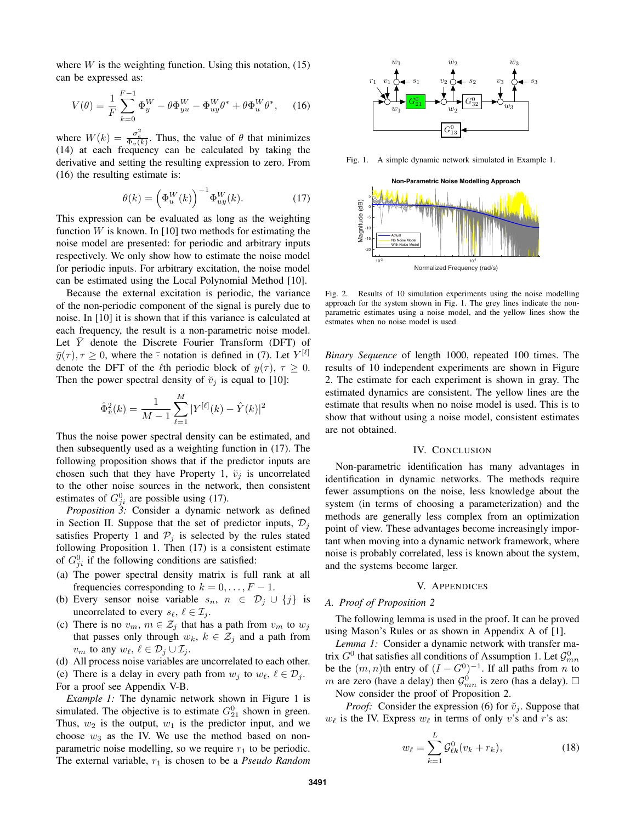where  $W$  is the weighting function. Using this notation,  $(15)$ can be expressed as:

$$
V(\theta) = \frac{1}{F} \sum_{k=0}^{F-1} \Phi_y^W - \theta \Phi_{yu}^W - \Phi_{uy}^W \theta^* + \theta \Phi_u^W \theta^*, \quad (16)
$$

where  $W(k) = \frac{\sigma_e^2}{\Phi_v(k)}$ . Thus, the value of  $\theta$  that minimizes (14) at each frequency can be calculated by taking the derivative and setting the resulting expression to zero. From (16) the resulting estimate is:

$$
\theta(k) = \left(\Phi_u^W(k)\right)^{-1} \Phi_{uy}^W(k). \tag{17}
$$

This expression can be evaluated as long as the weighting function  $W$  is known. In [10] two methods for estimating the noise model are presented: for periodic and arbitrary inputs respectively. We only show how to estimate the noise model for periodic inputs. For arbitrary excitation, the noise model can be estimated using the Local Polynomial Method [10].

Because the external excitation is periodic, the variance of the non-periodic component of the signal is purely due to noise. In [10] it is shown that if this variance is calculated at each frequency, the result is a non-parametric noise model. Let  $\overline{Y}$  denote the Discrete Fourier Transform (DFT) of  $\bar{y}(\tau)$ ,  $\tau \geq 0$ , where the  $\bar{\cdot}$  notation is defined in (7). Let  $Y^{[\ell]}$ denote the DFT of the *ℓ*th periodic block of  $y(\tau)$ ,  $\tau \geq 0$ . Then the power spectral density of  $\breve{v}_i$  is equal to [10]:

$$
\hat{\Phi}_{\tilde{v}}^2(k) = \frac{1}{M-1} \sum_{\ell=1}^{M} |Y^{[\ell]}(k) - \hat{Y}(k)|^2
$$

Thus the noise power spectral density can be estimated, and then subsequently used as a weighting function in (17). The following proposition shows that if the predictor inputs are chosen such that they have Property 1,  $\check{v}_i$  is uncorrelated to the other noise sources in the network, then consistent estimates of  $G_{ji}^0$  are possible using (17).

*Proposition 3:* Consider a dynamic network as defined in Section II. Suppose that the set of predictor inputs,  $\mathcal{D}_i$ satisfies Property 1 and  $P_j$  is selected by the rules stated following Proposition 1. Then (17) is a consistent estimate of  $G_{ji}^0$  if the following conditions are satisfied:

- (a) The power spectral density matrix is full rank at all frequencies corresponding to  $k = 0, \ldots, F - 1$ .
- (b) Every sensor noise variable  $s_n$ ,  $n \in \mathcal{D}_j \cup \{j\}$  is uncorrelated to every  $s_{\ell}, \ell \in \mathcal{I}_j$ .
- (c) There is no  $v_m$ ,  $m \in \mathcal{Z}_j$  that has a path from  $v_m$  to  $w_j$ that passes only through  $w_k$ ,  $k \in \mathcal{Z}_j$  and a path from *v*<sup>*m*</sup> to any  $w_{\ell}$ ,  $\ell \in \mathcal{D}_j \cup \mathcal{I}_j$ .
- (d) All process noise variables are uncorrelated to each other.
- (e) There is a delay in every path from  $w_j$  to  $w_\ell$ ,  $\ell \in \mathcal{D}_j$ .

For a proof see Appendix V-B.

*Example 1:* The dynamic network shown in Figure 1 is simulated. The objective is to estimate  $G_{21}^0$  shown in green. Thus,  $w_2$  is the output,  $w_1$  is the predictor input, and we choose  $w_3$  as the IV. We use the method based on nonparametric noise modelling, so we require  $r_1$  to be periodic. The external variable, *r*<sup>1</sup> is chosen to be a *Pseudo Random*



Fig. 1. A simple dynamic network simulated in Example 1.



Fig. 2. Results of 10 simulation experiments using the noise modelling approach for the system shown in Fig. 1. The grey lines indicate the nonparametric estimates using a noise model, and the yellow lines show the estmates when no noise model is used.

*Binary Sequence* of length 1000, repeated 100 times. The results of 10 independent experiments are shown in Figure 2. The estimate for each experiment is shown in gray. The estimated dynamics are consistent. The yellow lines are the estimate that results when no noise model is used. This is to show that without using a noise model, consistent estimates are not obtained.

#### IV. CONCLUSION

Non-parametric identification has many advantages in identification in dynamic networks. The methods require fewer assumptions on the noise, less knowledge about the system (in terms of choosing a parameterization) and the methods are generally less complex from an optimization point of view. These advantages become increasingly important when moving into a dynamic network framework, where noise is probably correlated, less is known about the system, and the systems become larger.

#### V. APPENDICES

## *A. Proof of Proposition 2*

The following lemma is used in the proof. It can be proved using Mason's Rules or as shown in Appendix A of [1].

*Lemma 1:* Consider a dynamic network with transfer matrix  $G^0$  that satisfies all conditions of Assumption 1. Let  $\mathcal{G}^0_{mn}$ be the  $(m, n)$ <sup>th</sup> entry of  $(I - G^0)^{-1}$ . If all paths from *n* to *m* are zero (have a delay) then  $\mathcal{G}_{mn}^0$  is zero (has a delay).  $\Box$ Now consider the proof of Proposition 2.

*Proof:* Consider the expression (6) for  $\ddot{v}_j$ . Suppose that  $w_{\ell}$  is the IV. Express  $w_{\ell}$  in terms of only *v*'s and *r*'s as:

$$
w_{\ell} = \sum_{k=1}^{L} \mathcal{G}^0_{\ell k} (v_k + r_k), \tag{18}
$$